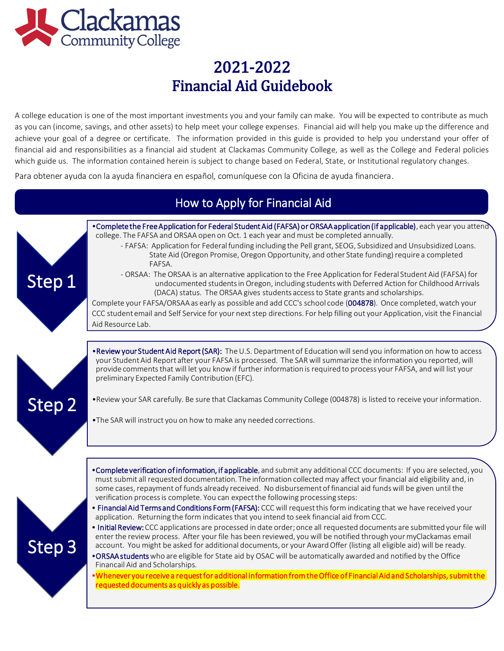

A college education is one of the most important investments you and your family can make. You will be expected to contribute as much as you can (income, savings, and other assets) to help meet your college expenses. Financial aid will help you make up the difference and achieve your goal of a degree or certificate. The information provided in this guide is provided to help you understand your offer of financial aid and responsibilities as a financial aid student at Clackamas Community College, as well as the College and Federal policies which guide us. The information contained herein is subject to change based on Federal, State, or Institutional regulatory changes.

Para obtener ayuda con la ayuda financiera en español, comuníquese con la Oficina de ayuda financiera.

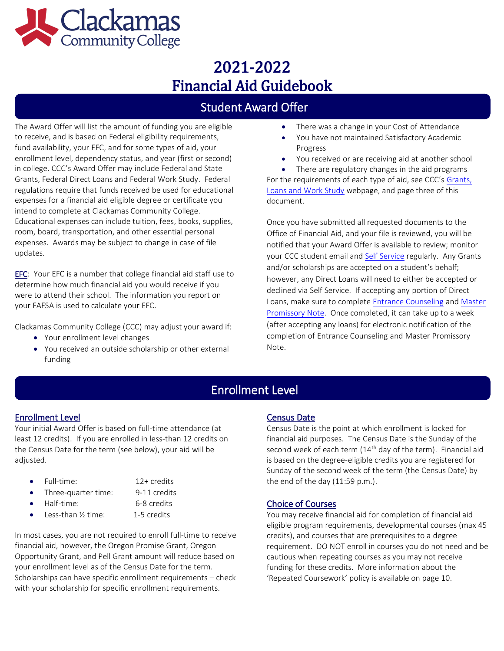

## Student Award Offer

The Award Offer will list the amount of funding you are eligible **•** There was a change in your Cost of Attendance to receive, and is based on Federal eligibility requirements, **•** You have not maintained Satisfactory Academic fund availability, your EFC, and for some types of aid, your **Progress** enrollment level, dependency status, and year (first or second) • You received or are receiving aid at another school in college. CCC's Award Offer may include Federal and State • There are regulatory changes in the aid programs [Grants,](https://www.clackamas.edu/admissions-financial-aid/financial-aid-scholarships/grants-loans-and-work-study-financial-aid-options) Federal Direct Loans and Federal Work Study. Federal For the requirements of each type of aid, see CCC's Grants, regulations require that funds received be used for educational [Loans and Work Study](https://www.clackamas.edu/admissions-financial-aid/financial-aid-scholarships/grants-loans-and-work-study-financial-aid-options) webpage, and page three of this expenses for a financial aid eligible degree or certificate you document. intend to complete at Clackamas Community College. Educational expenses can include tuition, fees, books, supplies, Once you have submitted all requested documents to the room, board, transportation, and other essential personal Office of Financial Aid, and your file is reviewed, you will be expenses. Awards may be subject to change in case of file notified that your Award Offer is available to review; monitor<br>updates.

EFC: Your EFC is a number that college financial aid staff use to<br>determine how much financial aid you would receive if you<br>were to attend their school. The information you report on<br>were to attend their school. The inform Loans, make sure to complete [Entrance Counseling a](https://studentaid.gov/app/counselingInstructions.action?counselingType=entrance)nd [Master](https://studentaid.gov/mpn/) your FAFSA is used to calculate your EFC.

- 
- You received an outside scholarship or other external Note. funding
- 
- 
- 
- 

your CCC student email an[d Self Service r](https://selfservice.clackamas.edu/Student/?hideProxyDialog=false)egularly. Any Grants and/or scholarships are accepted on a student's behalf; [Promissory Note.](https://studentaid.gov/mpn/) Once completed, it can take up to a week Clackamas Community College (CCC) may adjust your award if: (after accepting any loans) for electronic notification of the • Your enrollment level changes entitled and Master Promissory completion of Entrance Counseling and Master Promissory

## Enrollment Level

#### Enrollment Level

l

Your initial Award Offer is based on full-time attendance (at least 12 credits). If you are enrolled in less-than 12 credits on the Census Date for the term (see below), your aid will be adjusted.

- Full-time: 12+ credits
	-
- Three-quarter time: 9-11 credits
- Half-time: 6-8 credits
- Less-than 1/<sub>2</sub> time: 1-5 credits

In most cases, you are not required to enroll full-time to receive financial aid, however, the Oregon Promise Grant, Oregon Opportunity Grant, and Pell Grant amount will reduce based on your enrollment level as of the Census Date for the term. Scholarships can have specific enrollment requirements – check with your scholarship for specific enrollment requirements.

#### Census Date

Census Date is the point at which enrollment is locked for financial aid purposes. The Census Date is the Sunday of the second week of each term  $(14<sup>th</sup>$  day of the term). Financial aid is based on the degree-eligible credits you are registered for Sunday of the second week of the term (the Census Date) by the end of the day (11:59 p.m.).

#### Choice of Courses

You may receive financial aid for completion of financial aid eligible program requirements, developmental courses (max 45 credits), and courses that are prerequisites to a degree requirement. DO NOT enroll in courses you do not need and be cautious when repeating courses as you may not receive funding for these credits. More information about the 'Repeated Coursework' policy is available on page 10.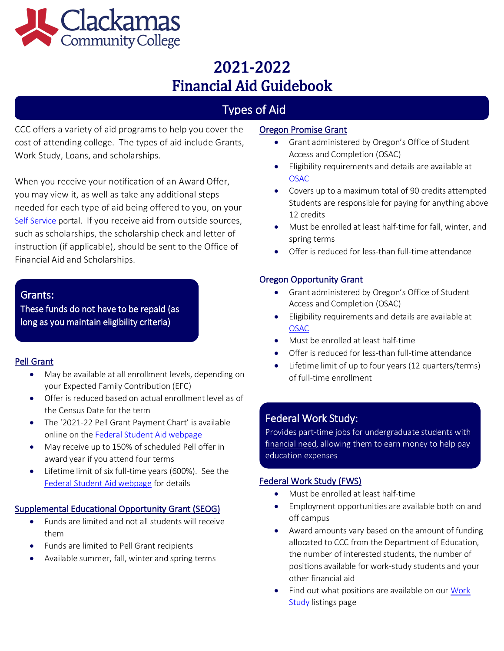

# Types of Aid

CCC offers a variety of aid programs to help you cover the cost of attending college. The types of aid include Grants, Work Study, Loans, and scholarships.

When you receive your notification of an Award Offer, you may view it, as well as take any additional steps needed for each type of aid being offered to you, on your [Self Service](https://selfservice.clackamas.edu/Student/?hideProxyDialog=false) portal. If you receive aid from outside sources, such as scholarships, the scholarship check and letter of instruction (if applicable), should be sent to the Office of Financial Aid and Scholarships.

### Grants:

These funds do not have to be repaid (as long as you maintain eligibility criteria)

### Pell Grant

- May be available at all enrollment levels, depending on your Expected Family Contribution (EFC)
- Offer is reduced based on actual enrollment level as of the Census Date for the term
- The '2021-22 Pell Grant Payment Chart' is available online on th[e Federal Student Aid webpage](https://studentaid.gov/understand-aid/types/grants/pell)
- May receive up to 150% of scheduled Pell offer in award year if you attend four terms
- Lifetime limit of six full-time years (600%). See the [Federal Student Aid webpage](https://studentaid.gov/understand-aid/types/grants/pell) for details

#### Supplemental Educational Opportunity Grant (SEOG)

- Funds are limited and not all students will receive them
- Funds are limited to Pell Grant recipients
- Available summer, fall, winter and spring terms

### Oregon Promise Grant

- Grant administered by Oregon's Office of Student Access and Completion (OSAC)
- Eligibility requirements and details are available at [OSAC](https://oregonstudentaid.gov/oregon-promise.aspx)
- Covers up to a maximum total of 90 credits attempted Students are responsible for paying for anything above 12 credits
- Must be enrolled at least half-time for fall, winter, and spring terms
- Offer is reduced for less-than full-time attendance

### Oregon Opportunity Grant

- Grant administered by Oregon's Office of Student Access and Completion (OSAC)
- Eligibility requirements and details are available at [OSAC](https://oregonstudentaid.gov/oregon-opportunity-grant.aspx)
- Must be enrolled at least half-time
- Offer is reduced for less-than full‐time attendance
- Lifetime limit of up to four years (12 quarters/terms) of full-time enrollment

### Federal Work Study:

Provides part-time jobs for undergraduate students with [financial need,](javascript:void(0)) allowing them to earn money to help pay education expenses

### Federal Work Study (FWS) j

- Must be enrolled at least half-time
- Employment opportunities are available both on and off campus
- Award amounts vary based on the amount of funding allocated to CCC from the Department of Education, the number of interested students, the number of positions available for work-study students and your other financial aid
- Find out what positions are available on our Work [Study](https://www.governmentjobs.com/careers/clackamascc/transferjobs) listings page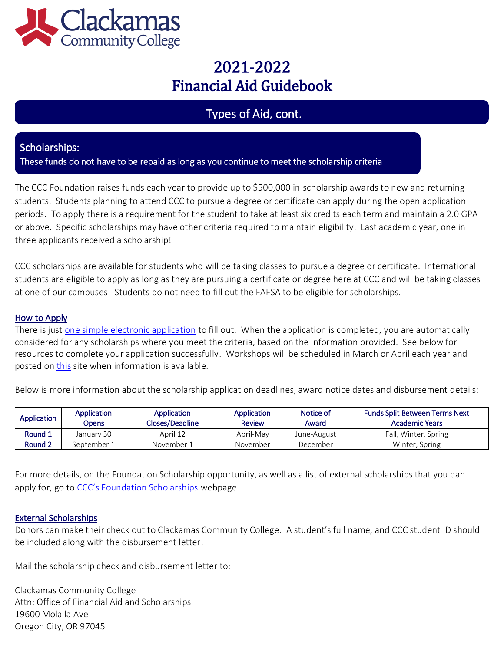

## Types of Aid, cont.

### Scholarships:

These funds do not have to be repaid as long as you continue to meet the scholarship criteria

The CCC Foundation raises funds each year to provide up to \$500,000 in scholarship awards to new and returning students. Students planning to attend CCC to pursue a degree or certificate can apply during the open application periods. To apply there is a requirement for the student to take at least six credits each term and maintain a 2.0 GPA or above. Specific scholarships may have other criteria required to maintain eligibility. Last academic year, one in three applicants received a scholarship!

CCC scholarships are available for students who will be taking classes to pursue a degree or certificate. International students are eligible to apply as long as they are pursuing a certificate or degree here at CCC and will be taking classes at one of our campuses. Students do not need to fill out the FAFSA to be eligible for scholarships.

### How to Apply

There is just [one simple electronic application t](https://clackamas.academicworks.com/users/sign_in)o fill out. When the application is completed, you are automatically considered for any scholarships where you meet the criteria, based on the information provided. See below for resources to complete your application successfully. Workshops will be scheduled in March or April each year and posted on [this s](https://www.clackamas.edu/admissions-financial-aid/financial-aid-scholarships/scholarships)ite when information is available.

Below is more information about the scholarship application deadlines, award notice dates and disbursement details:

| Application | Application<br>Opens | Application<br>Closes/Deadline | Application<br><b>Review</b> | Notice of<br>Award | <b>Funds Split Between Terms Next</b><br><b>Academic Years</b> |
|-------------|----------------------|--------------------------------|------------------------------|--------------------|----------------------------------------------------------------|
| Round 1     | January 30           | April 12                       | April-May                    | June-August        | Fall, Winter, Spring                                           |
| Round 2     | September 1          | November 1                     | November                     | December           | Winter, Spring                                                 |

For more details, on the Foundation Scholarship opportunity, as well as a list of external scholarships that you can apply for, go to [CCC's Foundation Scholarships](https://www.clackamas.edu/admissions-financial-aid/financial-aid-scholarships/scholarships) webpage.

### External Scholarships

Donors can make their check out to Clackamas Community College. A student's full name, and CCC student ID should be included along with the disbursement letter.

Mail the scholarship check and disbursement letter to:

Clackamas Community College Attn: Office of Financial Aid and Scholarships 19600 Molalla Ave Oregon City, OR 97045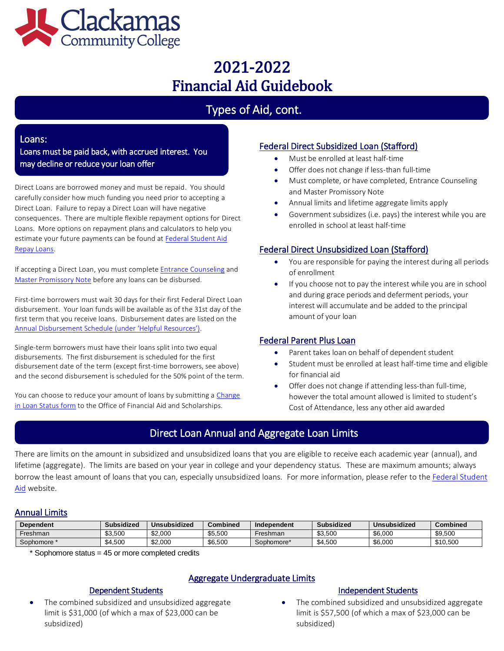

# Types of Aid, cont.

#### Loans:

Loans must be paid back, with accrued interest. You may decline or reduce your loan offer

Direct Loans are borrowed money and must be repaid. You should carefully consider how much funding you need prior to accepting a Direct Loan. Failure to repay a Direct Loan will have negative consequences. There are multiple flexible repayment options for Direct Loans. More options on repayment plans and calculators to help you estimate your future payments can be found a[t Federal Student Aid](https://studentaid.gov/h/manage-loans)  [Repay Loans.](https://studentaid.gov/h/manage-loans) 

If accepting a Direct Loan, you must complet[e Entrance Counseling](https://studentaid.gov/app/counselingInstructions.action?counselingType=entrance) and [Master Promissory Note](https://studentaid.gov/mpn/) before any loans can be disbursed.

First-time borrowers must wait 30 days for their first Federal Direct Loan disbursement. Your loan funds will be available as of the 31st day of the first term that you receive loans. Disbursement dates are listed on the [Annual Disbursement Schedule](https://www.clackamas.edu/admissions-financial-aid/financial-aid-scholarships/financial-aid-forms) (under 'Helpful Resources').

Single-term borrowers must have their loans split into two equal disbursements. The first disbursement is scheduled for the first disbursement date of the term (except first-time borrowers, see above) and the second disbursement is scheduled for the 50% point of the term.

You can choose to reduce your amount of loans by submitting a Change [in Loan Status form](https://www.clackamas.edu/admissions-financial-aid/financial-aid-scholarships/financial-aid-forms) to the Office of Financial Aid and Scholarships.

#### Federal Direct Subsidized Loan (Stafford)

- Must be enrolled at least half-time
- Offer does not change if less-than full-time
- Must complete, or have completed, Entrance Counseling and Master Promissory Note
- Annual limits and lifetime aggregate limits apply
- Government subsidizes (i.e. pays) the interest while you are enrolled in school at least half-time

### Federal Direct Unsubsidized Loan (Stafford)

- You are responsible for paying the interest during all periods of enrollment
- If you choose not to pay the interest while you are in school and during grace periods and deferment periods, your interest will accumulate and be added to the principal amount of your loan

#### Federal Parent Plus Loan

- Parent takes loan on behalf of dependent student
- Student must be enrolled at least half-time time and eligible for financial aid
- Offer does not change if attending less-than full-time, however the total amount allowed is limited to student's Cost of Attendance, less any other aid awarded

## Direct Loan Annual and Aggregate Loan Limits

There are limits on the amount in subsidized and unsubsidized loans that you are eligible to receive each academic year (annual), and lifetime (aggregate). The limits are based on your year in college and your dependency status. These are maximum amounts; always borrow the least amount of loans that you can, especially unsubsidized loans. For more information, please refer to th[e Federal Student](https://studentaid.ed.gov/sa/types/loans/subsidized-unsubsidized)  [Aid w](https://studentaid.ed.gov/sa/types/loans/subsidized-unsubsidized)ebsite.

#### Annual Limits

| <b>Dependent</b> | <b>Subsidized</b> | Unsubsidized | <b>Combined</b> | Independent | Subsidized | Unsubsidized | Combined |
|------------------|-------------------|--------------|-----------------|-------------|------------|--------------|----------|
| Freshman         | \$3,500           | \$2,000      | \$5,500         | Freshman    | \$3,500    | \$6,000      | \$9,500  |
| Sophomore        | \$4.500           | \$2,000      | \$6,500         | Sophomore*  | \$4,500    | \$6,000      | \$10,500 |

\* Sophomore status = 45 or more completed credits

### Aggregate Undergraduate Limits

#### Dependent Students

• The combined subsidized and unsubsidized aggregate limit is \$31,000 (of which a max of \$23,000 can be subsidized)

#### Independent Students

The combined subsidized and unsubsidized aggregate limit is \$57,500 (of which a max of \$23,000 can be subsidized)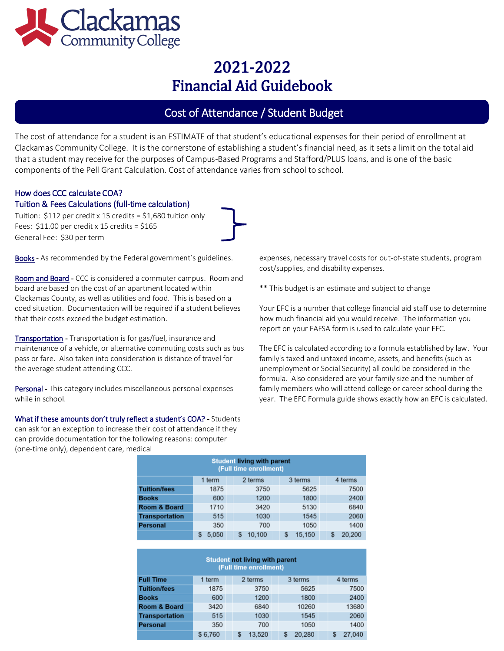

## Cost of Attendance / Student Budget

The cost of attendance for a student is an ESTIMATE of that student's educational expenses for their period of enrollment at Clackamas Community College. It is the cornerstone of establishing a student's financial need, as it sets a limit on the total aid that a student may receive for the purposes of Campus-Based Programs and Stafford/PLUS loans, and is one of the basic components of the Pell Grant Calculation. Cost of attendance varies from school to school.

#### How does CCC calculate COA? Tuition & Fees Calculations (full-time calculation)

Tuition: \$112 per credit x 15 credits = \$1,680 tuition only Fees:  $$11.00$  per credit x 15 credits =  $$165$ General Fee: \$30 per term

Room and Board - CCC is considered a commuter campus. Room and board are based on the cost of an apartment located within \*\*\* This budget is an estimate and subject to change Clackamas County, as well as utilities and food. This is based on a coed situation. Documentation will be required if a student believes Your EFC is a number that college financial aid staff use to determine that their costs exceed the budget estimation. how much financial aid you would receive. The information you

Transportation - Transportation is for gas/fuel, insurance and maintenance of a vehicle, or alternative commuting costs such as bus The EFC is calculated according to a formula established by law. Your pass or fare. Also taken into consideration is distance of travel for family's taxed and untaxed income, assets, and benefits (such as the average student attending CCC. The state of the state of the unemployment or Social Security) all could be considered in the

What if these amounts don't truly reflect a student's COA? - Students can ask for an exception to increase their cost of attendance if they can provide documentation for the following reasons: computer (one-time only), dependent care, medical

Books - As recommended by the Federal government's guidelines. expenses, necessary travel costs for out-of-state students, program cost/supplies, and disability expenses.

report on your FAFSA form is used to calculate your EFC.

formula. Also considered are your family size and the number of Personal - This category includes miscellaneous personal expenses family members who will attend college or career school during the while in school. **While in school.** While in school. Wear. The EFC Formula guide shows exactly how an EFC is calculated.

| <b>Student living with parent</b><br>(Full time enrollment) |        |         |              |              |  |  |
|-------------------------------------------------------------|--------|---------|--------------|--------------|--|--|
|                                                             | 1 term | 2 terms | 3 terms      | 4 terms      |  |  |
| <b>Tuition/fees</b>                                         | 1875   | 3750    | 5625         | 7500         |  |  |
| <b>Books</b>                                                | 600    | 1200    | 1800         | 2400         |  |  |
| <b>Room &amp; Board</b>                                     | 1710   | 3420    | 5130         | 6840         |  |  |
| <b>Transportation</b>                                       | 515    | 1030    | 1545         | 2060         |  |  |
| <b>Personal</b>                                             | 350    | 700     | 1050         | 1400         |  |  |
|                                                             | 5.050  | 10.100  | 15.150<br>\$ | 20.200<br>\$ |  |  |

| <b>Student not living with parent</b><br>(Full time enrollment) |         |  |             |  |         |  |         |
|-----------------------------------------------------------------|---------|--|-------------|--|---------|--|---------|
| <b>Full Time</b>                                                | 1 term  |  | 2 terms     |  | 3 terms |  | 4 terms |
| <b>Tuition/fees</b>                                             | 1875    |  | 3750        |  | 5625    |  | 7500    |
| <b>Books</b>                                                    | 600     |  | 1200        |  | 1800    |  | 2400    |
| <b>Room &amp; Board</b>                                         | 3420    |  | 6840        |  | 10260   |  | 13680   |
| <b>Transportation</b>                                           | 515     |  | 1030        |  | 1545    |  | 2060    |
| <b>Personal</b>                                                 | 350     |  | 700         |  | 1050    |  | 1400    |
|                                                                 | \$6.760 |  | 13.520<br>S |  | 20.280  |  | 27.040  |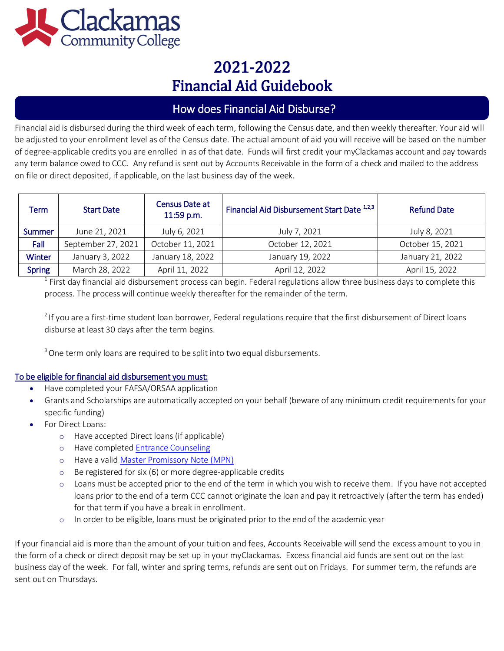

## How does Financial Aid Disburse?

Financial aid is disbursed during the third week of each term, following the Census date, and then weekly thereafter. Your aid will be adjusted to your enrollment level as of the Census date. The actual amount of aid you will receive will be based on the number of degree-applicable credits you are enrolled in as of that date. Funds will first credit your myClackamas account and pay towards any term balance owed to CCC. Any refund is sent out by Accounts Receivable in the form of a check and mailed to the address on file or direct deposited, if applicable, on the last business day of the week.

| Term          | <b>Start Date</b>  | Census Date at<br>11:59 p.m. | Financial Aid Disbursement Start Date 1,2,3 | <b>Refund Date</b> |  |
|---------------|--------------------|------------------------------|---------------------------------------------|--------------------|--|
| <b>Summer</b> | June 21, 2021      | July 6, 2021                 | July 7, 2021                                | July 8, 2021       |  |
| Fall          | September 27, 2021 | October 11, 2021             | October 12, 2021                            | October 15, 2021   |  |
| <b>Winter</b> | January 3, 2022    | January 18, 2022             | January 19, 2022                            | January 21, 2022   |  |
| <b>Spring</b> | March 28, 2022     | April 11, 2022               | April 12, 2022                              | April 15, 2022     |  |

 $^1$  First day financial aid disbursement process can begin. Federal regulations allow three business days to complete this process. The process will continue weekly thereafter for the remainder of the term.

<sup>2</sup> If you are a first-time student loan borrower, Federal regulations require that the first disbursement of Direct loans disburse at least 30 days after the term begins.

<sup>3</sup> One term only loans are required to be split into two equal disbursements.

#### To be eligible for financial aid disbursement you must:

- Have completed your FAFSA/ORSAA application
- Grants and Scholarships are automatically accepted on your behalf (beware of any minimum credit requirements for your specific funding)
- For Direct Loans:
	- o Have accepted Direct loans (if applicable)
	- o Have complete[d Entrance Counseling](https://studentaid.gov/entrance-counseling)
	- o Have a vali[d Master Promissory Note \(MPN\)](https://studentaid.gov/help-center/answers/article/master-promissory-note)
	- o Be registered for six (6) or more degree-applicable credits
	- o Loans must be accepted prior to the end of the term in which you wish to receive them. If you have not accepted loans prior to the end of a term CCC cannot originate the loan and pay it retroactively (after the term has ended) for that term if you have a break in enrollment.
	- o In order to be eligible, loans must be originated prior to the end of the academic year

If your financial aid is more than the amount of your tuition and fees, Accounts Receivable will send the excess amount to you in the form of a check or direct deposit may be set up in your myClackamas. Excess financial aid funds are sent out on the last business day of the week. For fall, winter and spring terms, refunds are sent out on Fridays. For summer term, the refunds are sent out on Thursdays.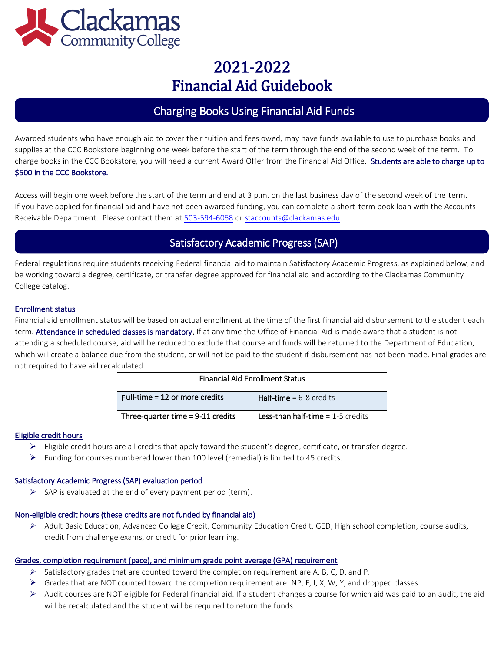

## Charging Books Using Financial Aid Funds

Awarded students who have enough aid to cover their tuition and fees owed, may have funds available to use to purchase books and supplies at the CCC Bookstore beginning one week before the start of the term through the end of the second week of the term. To charge books in the CCC Bookstore, you will need a current Award Offer from the Financial Aid Office. Students are able to charge up to \$500 in the CCC Bookstore.

Access will begin one week before the start of the term and end at 3 p.m. on the last business day of the second week of the term. If you have applied for financial aid and have not been awarded funding, you can complete a short-term book loan with the Accounts Receivable Department. Please contact them a[t 503-594-6068](tel:+15035946068) o[r staccounts@clackamas.edu.](mailto:staccounts@clackamas.edu)

## Satisfactory Academic Progress (SAP)

Federal regulations require students receiving Federal financial aid to maintain Satisfactory Academic Progress, as explained below, and be working toward a degree, certificate, or transfer degree approved for financial aid and according to the Clackamas Community College catalog.

#### Enrollment status

Financial aid enrollment status will be based on actual enrollment at the time of the first financial aid disbursement to the student each term. Attendance in scheduled classes is mandatory. If at any time the Office of Financial Aid is made aware that a student is not attending a scheduled course, aid will be reduced to exclude that course and funds will be returned to the Department of Education, which will create a balance due from the student, or will not be paid to the student if disbursement has not been made. Final grades are not required to have aid recalculated.

| <b>Financial Aid Enrollment Status</b> |                                     |  |  |  |
|----------------------------------------|-------------------------------------|--|--|--|
| Full-time = $12$ or more credits       | <b>Half-time</b> = $6-8$ credits    |  |  |  |
| Three-quarter time $= 9-11$ credits    | Less-than half-time $= 1-5$ credits |  |  |  |

#### Eligible credit hours

- $\triangleright$  Eligible credit hours are all credits that apply toward the student's degree, certificate, or transfer degree.
- $\triangleright$  Funding for courses numbered lower than 100 level (remedial) is limited to 45 credits.

#### Satisfactory Academic Progress (SAP) evaluation period

 $\triangleright$  SAP is evaluated at the end of every payment period (term).

#### Non-eligible credit hours (these credits are not funded by financial aid)

➢ Adult Basic Education, Advanced College Credit, Community Education Credit, GED, High school completion, course audits, credit from challenge exams, or credit for prior learning.

#### Grades, completion requirement (pace), and minimum grade point average (GPA) requirement

- $\triangleright$  Satisfactory grades that are counted toward the completion requirement are A, B, C, D, and P.
- ➢ Grades that are NOT counted toward the completion requirement are: NP, F, I, X, W, Y, and dropped classes.
- $\triangleright$  Audit courses are NOT eligible for Federal financial aid. If a student changes a course for which aid was paid to an audit, the aid will be recalculated and the student will be required to return the funds.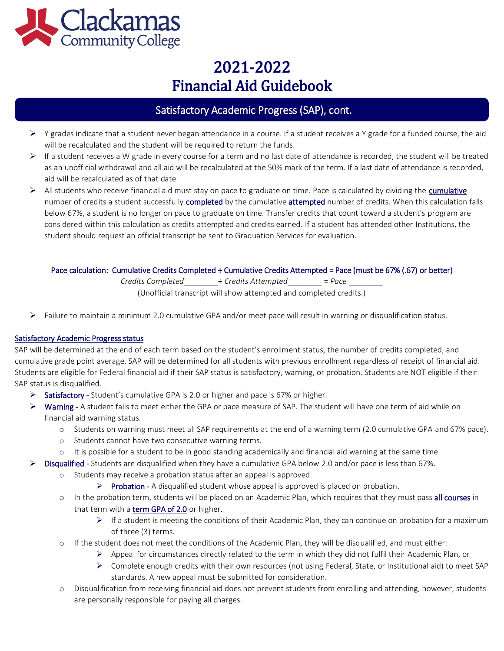

## Satisfactory Academic Progress (SAP), cont.

- $\triangleright$  Y grades indicate that a student never began attendance in a course. If a student receives a Y grade for a funded course, the aid will be recalculated and the student will be required to return the funds.
- $\triangleright$  If a student receives a W grade in every course for a term and no last date of attendance is recorded, the student will be treated as an unofficial withdrawal and all aid will be recalculated at the 50% mark of the term. If a last date of attendance is recorded, aid will be recalculated as of that date.
- $\triangleright$  All students who receive financial aid must stay on pace to graduate on time. Pace is calculated by dividing the cumulative number of credits a student successfully completed by the cumulative attempted number of credits. When this calculation falls below 67%, a student is no longer on pace to graduate on time. Transfer credits that count toward a student's program are considered within this calculation as credits attempted and credits earned. If a student has attended other Institutions, the student should request an official transcript be sent to Graduation Services for evaluation.

#### Pace calculation: Cumulative Credits Completed ÷ Cumulative Credits Attempted = Pace (must be 67% (.67) or better)

*Credits Completed*\_\_\_\_\_\_\_\_÷ *Credits Attempted*\_\_\_\_\_\_\_\_ = *Pace* \_\_\_\_\_\_\_\_

(Unofficial transcript will show attempted and completed credits.)

 $\triangleright$  Failure to maintain a minimum 2.0 cumulative GPA and/or meet pace will result in warning or disqualification status.

#### Satisfactory Academic Progress status

SAP will be determined at the end of each term based on the student's enrollment status, the number of credits completed, and cumulative grade point average. SAP will be determined for all students with previous enrollment regardless of receipt of financial aid. Students are eligible for Federal financial aid if their SAP status is satisfactory, warning, or probation. Students are NOT eligible if their SAP status is disqualified.

- $\triangleright$  Satisfactory Student's cumulative GPA is 2.0 or higher and pace is 67% or higher.
- ➢ Warning A student fails to meet either the GPA or pace measure of SAP. The student will have one term of aid while on financial aid warning status.
	- o Students on warning must meet all SAP requirements at the end of a warning term (2.0 cumulative GPA and 67% pace).
	- o Students cannot have two consecutive warning terms.
	- o It is possible for a student to be in good standing academically and financial aid warning at the same time.
- $\triangleright$  Disqualified Students are disqualified when they have a cumulative GPA below 2.0 and/or pace is less than 67%.
	- Students may receive a probation status after an appeal is approved.
		- $\triangleright$  Probation A disqualified student whose appeal is approved is placed on probation.
	- o In the probation term, students will be placed on an Academic Plan, which requires that they must pass all courses in that term with a term GPA of 2.0 or higher.
		- ➢ If a student is meeting the conditions of their Academic Plan, they can continue on probation for a maximum of three (3) terms.
	- o If the student does not meet the conditions of the Academic Plan, they will be disqualified, and must either:
		- $\triangleright$  Appeal for circumstances directly related to the term in which they did not fulfil their Academic Plan, or
		- ➢ Complete enough credits with their own resources (not using Federal, State, or Institutional aid) to meet SAP standards. A new appeal must be submitted for consideration.
	- o Disqualification from receiving financial aid does not prevent students from enrolling and attending, however, students are personally responsible for paying all charges.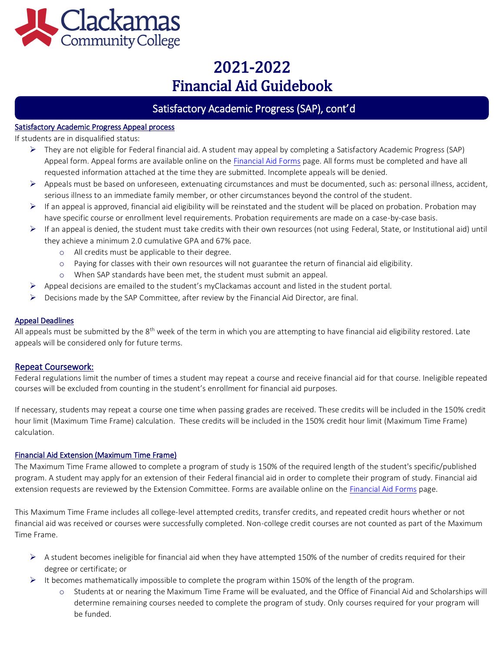

## Satisfactory Academic Progress (SAP), cont'd

#### Satisfactory Academic Progress Appeal process

If students are in disqualified status:

 $\overline{\phantom{a}}$ 

- ➢ They are not eligible for Federal financial aid. A student may appeal by completing a Satisfactory Academic Progress (SAP) Appeal form. Appeal forms are available online on th[e Financial Aid Forms p](http://www.clackamas.edu/admissions-financial-aid/financial-aid-scholarships/financial-aid-forms)age. All forms must be completed and have all requested information attached at the time they are submitted. Incomplete appeals will be denied.
- ➢ Appeals must be based on unforeseen, extenuating circumstances and must be documented, such as: personal illness, accident, serious illness to an immediate family member, or other circumstances beyond the control of the student.
- $\triangleright$  If an appeal is approved, financial aid eligibility will be reinstated and the student will be placed on probation. Probation may have specific course or enrollment level requirements. Probation requirements are made on a case-by-case basis.
- ➢ If an appeal is denied, the student must take credits with their own resources (not using Federal, State, or Institutional aid) until they achieve a minimum 2.0 cumulative GPA and 67% pace.
	- o All credits must be applicable to their degree.
	- o Paying for classes with their own resources will not guarantee the return of financial aid eligibility.
	- o When SAP standards have been met, the student must submit an appeal.
- $\triangleright$  Appeal decisions are emailed to the student's myClackamas account and listed in the student portal.
- $\triangleright$  Decisions made by the SAP Committee, after review by the Financial Aid Director, are final.

#### Appeal Deadlines

All appeals must be submitted by the  $8<sup>th</sup>$  week of the term in which you are attempting to have financial aid eligibility restored. Late appeals will be considered only for future terms.

#### Repeat Coursework:

Federal regulations limit the number of times a student may repeat a course and receive financial aid for that course. Ineligible repeated courses will be excluded from counting in the student's enrollment for financial aid purposes.

If necessary, students may repeat a course one time when passing grades are received. These credits will be included in the 150% credit hour limit (Maximum Time Frame) calculation. These credits will be included in the 150% credit hour limit (Maximum Time Frame) calculation.

#### Financial Aid Extension (Maximum Time Frame)

The Maximum Time Frame allowed to complete a program of study is 150% of the required length of the student's specific/published program. A student may apply for an extension of their Federal financial aid in order to complete their program of study. Financial aid extension requests are reviewed by the Extension Committee. Forms are available online on th[e Financial Aid Forms p](http://www.clackamas.edu/admissions-financial-aid/financial-aid-scholarships/financial-aid-forms)age.

This Maximum Time Frame includes all college-level attempted credits, transfer credits, and repeated credit hours whether or not financial aid was received or courses were successfully completed. Non-college credit courses are not counted as part of the Maximum Time Frame.

- $\triangleright$  A student becomes ineligible for financial aid when they have attempted 150% of the number of credits required for their degree or certificate; or
- $\triangleright$  It becomes mathematically impossible to complete the program within 150% of the length of the program.
	- o Students at or nearing the Maximum Time Frame will be evaluated, and the Office of Financial Aid and Scholarships will determine remaining courses needed to complete the program of study. Only courses required for your program will be funded.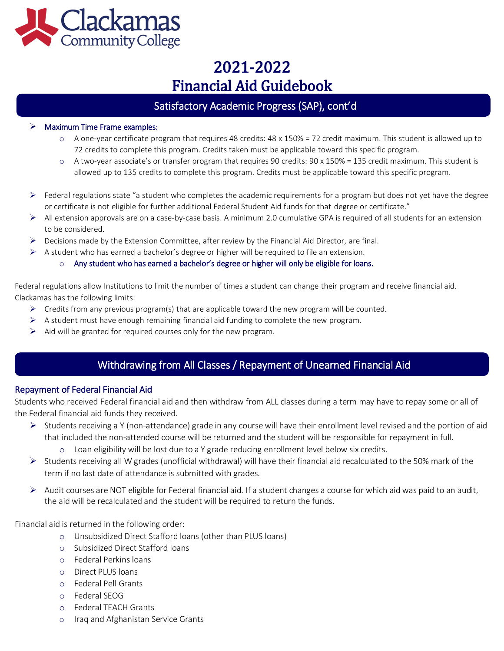

## Satisfactory Academic Progress (SAP), cont'd

#### ➢ Maximum Time Frame examples:

l

- $\circ$  A one-year certificate program that requires 48 credits: 48 x 150% = 72 credit maximum. This student is allowed up to 72 credits to complete this program. Credits taken must be applicable toward this specific program.
- o A two-year associate's or transfer program that requires 90 credits: 90 x 150% = 135 credit maximum. This student is allowed up to 135 credits to complete this program. Credits must be applicable toward this specific program.
- $\triangleright$  Federal regulations state "a student who completes the academic requirements for a program but does not yet have the degree or certificate is not eligible for further additional Federal Student Aid funds for that degree or certificate."
- ➢ All extension approvals are on a case-by-case basis. A minimum 2.0 cumulative GPA is required of all students for an extension to be considered.
- $\triangleright$  Decisions made by the Extension Committee, after review by the Financial Aid Director, are final.
- $\triangleright$  A student who has earned a bachelor's degree or higher will be required to file an extension.

#### $\circ$  Any student who has earned a bachelor's degree or higher will only be eligible for loans.

Federal regulations allow Institutions to limit the number of times a student can change their program and receive financial aid. Clackamas has the following limits:

- $\triangleright$  Credits from any previous program(s) that are applicable toward the new program will be counted.
- $\triangleright$  A student must have enough remaining financial aid funding to complete the new program.
- $\triangleright$  Aid will be granted for required courses only for the new program.

## Withdrawing from All Classes / Repayment of Unearned Financial Aid

#### Repayment of Federal Financial Aid

 $\overline{1}$ 

ľ

Students who received Federal financial aid and then withdraw from ALL classes during a term may have to repay some or all of the Federal financial aid funds they received.

- $\triangleright$  Students receiving a Y (non-attendance) grade in any course will have their enrollment level revised and the portion of aid that included the non-attended course will be returned and the student will be responsible for repayment in full.
	- o Loan eligibility will be lost due to a Y grade reducing enrollment level below six credits.
- $\triangleright$  Students receiving all W grades (unofficial withdrawal) will have their financial aid recalculated to the 50% mark of the term if no last date of attendance is submitted with grades.
- $\triangleright$  Audit courses are NOT eligible for Federal financial aid. If a student changes a course for which aid was paid to an audit, the aid will be recalculated and the student will be required to return the funds.

Financial aid is returned in the following order:

- o Unsubsidized Direct Stafford loans (other than PLUS loans)
- o Subsidized Direct Stafford loans
- o Federal Perkins loans
- o Direct PLUS loans
- o Federal Pell Grants
- o Federal SEOG
- o Federal TEACH Grants
- o Iraq and Afghanistan Service Grants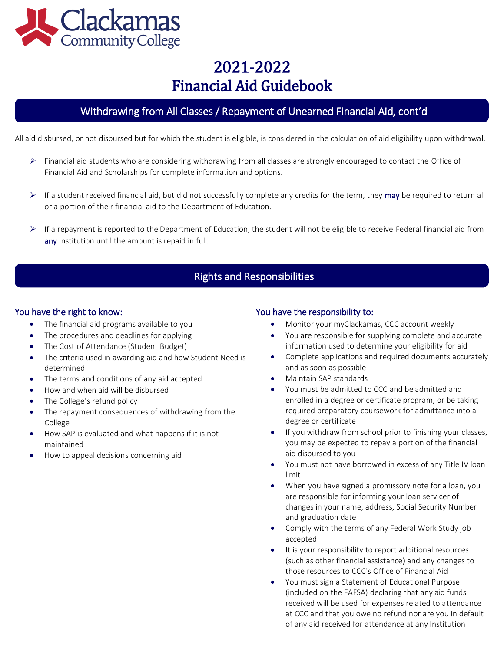

## Withdrawing from All Classes / Repayment of Unearned Financial Aid, cont'd

All aid disbursed, or not disbursed but for which the student is eligible, is considered in the calculation of aid eligibility upon withdrawal.

- $\triangleright$  Financial aid students who are considering withdrawing from all classes are strongly encouraged to contact the Office of Financial Aid and Scholarships for complete information and options.
- $\triangleright$  If a student received financial aid, but did not successfully complete any credits for the term, they **may** be required to return all or a portion of their financial aid to the Department of Education.
- $\triangleright$  If a repayment is reported to the Department of Education, the student will not be eligible to receive Federal financial aid from any Institution until the amount is repaid in full.

## Rights and Responsibilities

#### You have the right to know:

ľ

- The financial aid programs available to you
- The procedures and deadlines for applying
- The Cost of Attendance (Student Budget)
- The criteria used in awarding aid and how Student Need is determined
- The terms and conditions of any aid accepted
- How and when aid will be disbursed
- The College's refund policy
- The repayment consequences of withdrawing from the College
- How SAP is evaluated and what happens if it is not maintained
- How to appeal decisions concerning aid

### You have the responsibility to:

- Monitor your myClackamas, CCC account weekly
- You are responsible for supplying complete and accurate information used to determine your eligibility for aid
- Complete applications and required documents accurately and as soon as possible
- Maintain SAP standards
- You must be admitted to CCC and be admitted and enrolled in a degree or certificate program, or be taking required preparatory coursework for admittance into a degree or certificate
- If you withdraw from school prior to finishing your classes, you may be expected to repay a portion of the financial aid disbursed to you
- You must not have borrowed in excess of any Title IV loan limit
- When you have signed a promissory note for a loan, you are responsible for informing your loan servicer of changes in your name, address, Social Security Number and graduation date
- Comply with the terms of any Federal Work Study job accepted
- It is your responsibility to report additional resources (such as other financial assistance) and any changes to those resources to CCC's Office of Financial Aid
- You must sign a Statement of Educational Purpose (included on the FAFSA) declaring that any aid funds received will be used for expenses related to attendance at CCC and that you owe no refund nor are you in default of any aid received for attendance at any Institution